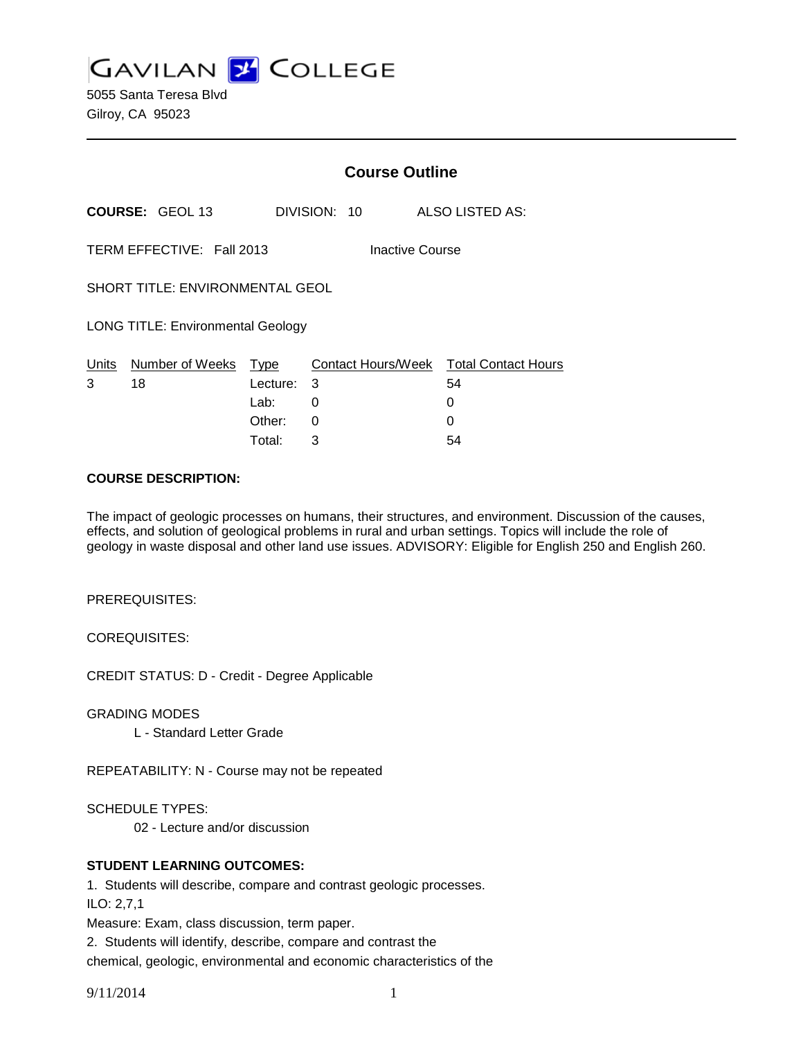**GAVILAN J COLLEGE** 

5055 Santa Teresa Blvd Gilroy, CA 95023

|                                          |                                  | <b>Course Outline</b>          |                        |                                                        |  |
|------------------------------------------|----------------------------------|--------------------------------|------------------------|--------------------------------------------------------|--|
|                                          | <b>COURSE: GEOL 13</b>           |                                | DIVISION: 10           | <b>ALSO LISTED AS:</b>                                 |  |
|                                          | TERM EFFECTIVE: Fall 2013        |                                | <b>Inactive Course</b> |                                                        |  |
| <b>SHORT TITLE: ENVIRONMENTAL GEOL</b>   |                                  |                                |                        |                                                        |  |
| <b>LONG TITLE: Environmental Geology</b> |                                  |                                |                        |                                                        |  |
| 3                                        | Units Number of Weeks Type<br>18 | Lecture:<br>Lab: ___<br>Other: | 3<br>0<br>0            | Contact Hours/Week Total Contact Hours<br>54<br>0<br>O |  |
|                                          |                                  | Total:                         | 3                      | 54                                                     |  |

#### **COURSE DESCRIPTION:**

The impact of geologic processes on humans, their structures, and environment. Discussion of the causes, effects, and solution of geological problems in rural and urban settings. Topics will include the role of geology in waste disposal and other land use issues. ADVISORY: Eligible for English 250 and English 260.

PREREQUISITES:

COREQUISITES:

CREDIT STATUS: D - Credit - Degree Applicable

GRADING MODES

L - Standard Letter Grade

REPEATABILITY: N - Course may not be repeated

SCHEDULE TYPES:

02 - Lecture and/or discussion

#### **STUDENT LEARNING OUTCOMES:**

1. Students will describe, compare and contrast geologic processes.

ILO: 2,7,1

Measure: Exam, class discussion, term paper.

2. Students will identify, describe, compare and contrast the

chemical, geologic, environmental and economic characteristics of the

9/11/2014 1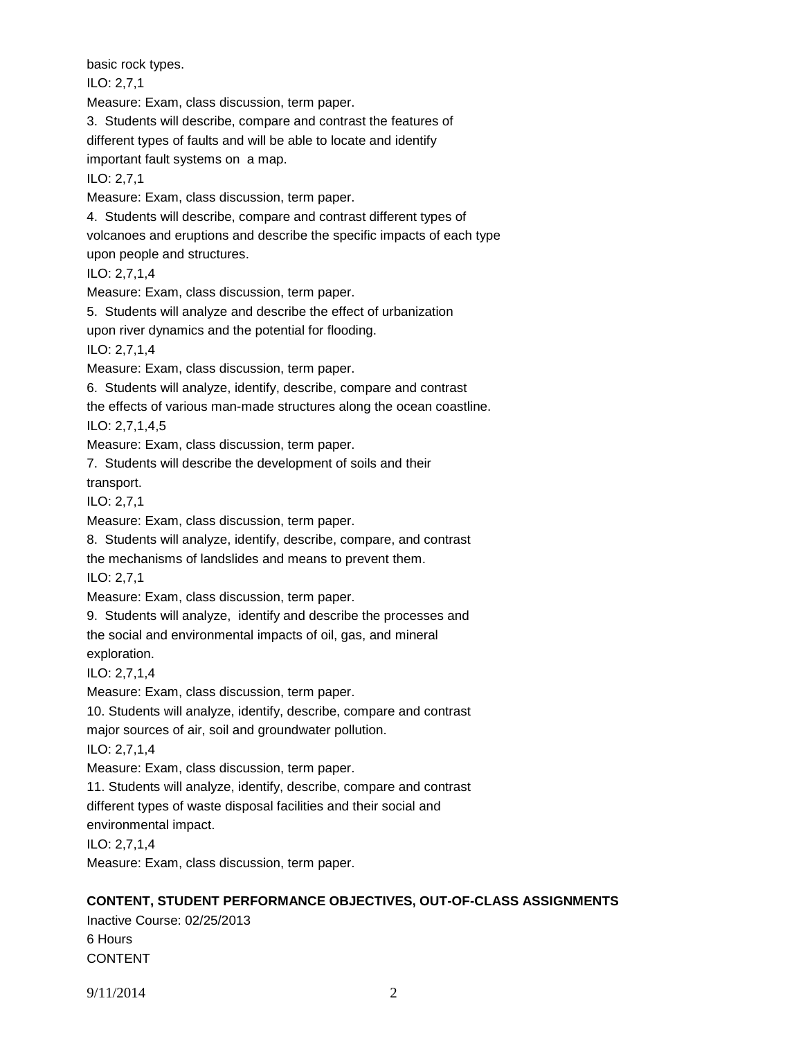basic rock types. ILO: 2,7,1 Measure: Exam, class discussion, term paper. 3. Students will describe, compare and contrast the features of different types of faults and will be able to locate and identify important fault systems on a map. ILO: 2,7,1 Measure: Exam, class discussion, term paper. 4. Students will describe, compare and contrast different types of volcanoes and eruptions and describe the specific impacts of each type upon people and structures. ILO: 2,7,1,4 Measure: Exam, class discussion, term paper. 5. Students will analyze and describe the effect of urbanization upon river dynamics and the potential for flooding. ILO: 2,7,1,4 Measure: Exam, class discussion, term paper. 6. Students will analyze, identify, describe, compare and contrast the effects of various man-made structures along the ocean coastline. ILO: 2,7,1,4,5 Measure: Exam, class discussion, term paper. 7. Students will describe the development of soils and their transport. ILO: 2,7,1 Measure: Exam, class discussion, term paper. 8. Students will analyze, identify, describe, compare, and contrast the mechanisms of landslides and means to prevent them. ILO: 2,7,1 Measure: Exam, class discussion, term paper. 9. Students will analyze, identify and describe the processes and the social and environmental impacts of oil, gas, and mineral exploration. ILO: 2,7,1,4 Measure: Exam, class discussion, term paper. 10. Students will analyze, identify, describe, compare and contrast major sources of air, soil and groundwater pollution. ILO: 2,7,1,4 Measure: Exam, class discussion, term paper. 11. Students will analyze, identify, describe, compare and contrast different types of waste disposal facilities and their social and environmental impact. ILO: 2,7,1,4 Measure: Exam, class discussion, term paper. **CONTENT, STUDENT PERFORMANCE OBJECTIVES, OUT-OF-CLASS ASSIGNMENTS**

Inactive Course: 02/25/2013 6 Hours CONTENT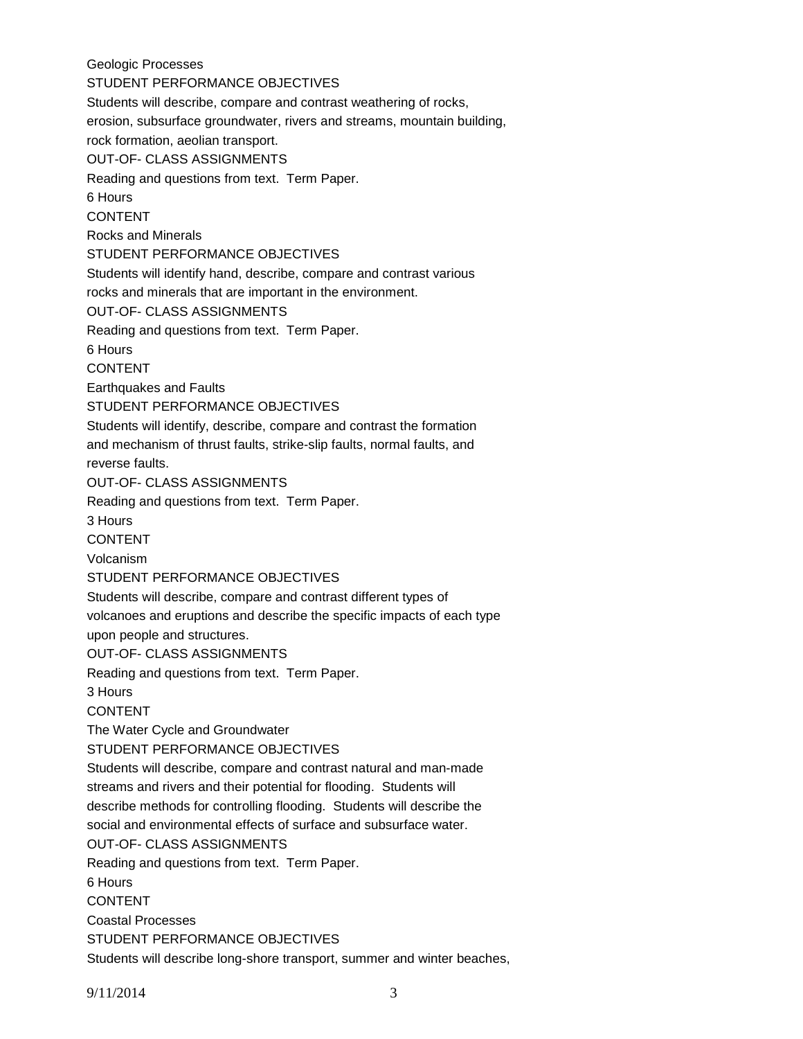Geologic Processes STUDENT PERFORMANCE OBJECTIVES Students will describe, compare and contrast weathering of rocks, erosion, subsurface groundwater, rivers and streams, mountain building, rock formation, aeolian transport. OUT-OF- CLASS ASSIGNMENTS Reading and questions from text. Term Paper. 6 Hours CONTENT Rocks and Minerals STUDENT PERFORMANCE OBJECTIVES Students will identify hand, describe, compare and contrast various rocks and minerals that are important in the environment. OUT-OF- CLASS ASSIGNMENTS Reading and questions from text. Term Paper. 6 Hours CONTENT Earthquakes and Faults STUDENT PERFORMANCE OBJECTIVES Students will identify, describe, compare and contrast the formation and mechanism of thrust faults, strike-slip faults, normal faults, and reverse faults. OUT-OF- CLASS ASSIGNMENTS Reading and questions from text. Term Paper. 3 Hours CONTENT Volcanism STUDENT PERFORMANCE OBJECTIVES Students will describe, compare and contrast different types of volcanoes and eruptions and describe the specific impacts of each type upon people and structures. OUT-OF- CLASS ASSIGNMENTS Reading and questions from text. Term Paper. 3 Hours CONTENT The Water Cycle and Groundwater STUDENT PERFORMANCE OBJECTIVES Students will describe, compare and contrast natural and man-made streams and rivers and their potential for flooding. Students will describe methods for controlling flooding. Students will describe the social and environmental effects of surface and subsurface water. OUT-OF- CLASS ASSIGNMENTS Reading and questions from text. Term Paper. 6 Hours CONTENT Coastal Processes STUDENT PERFORMANCE OBJECTIVES Students will describe long-shore transport, summer and winter beaches,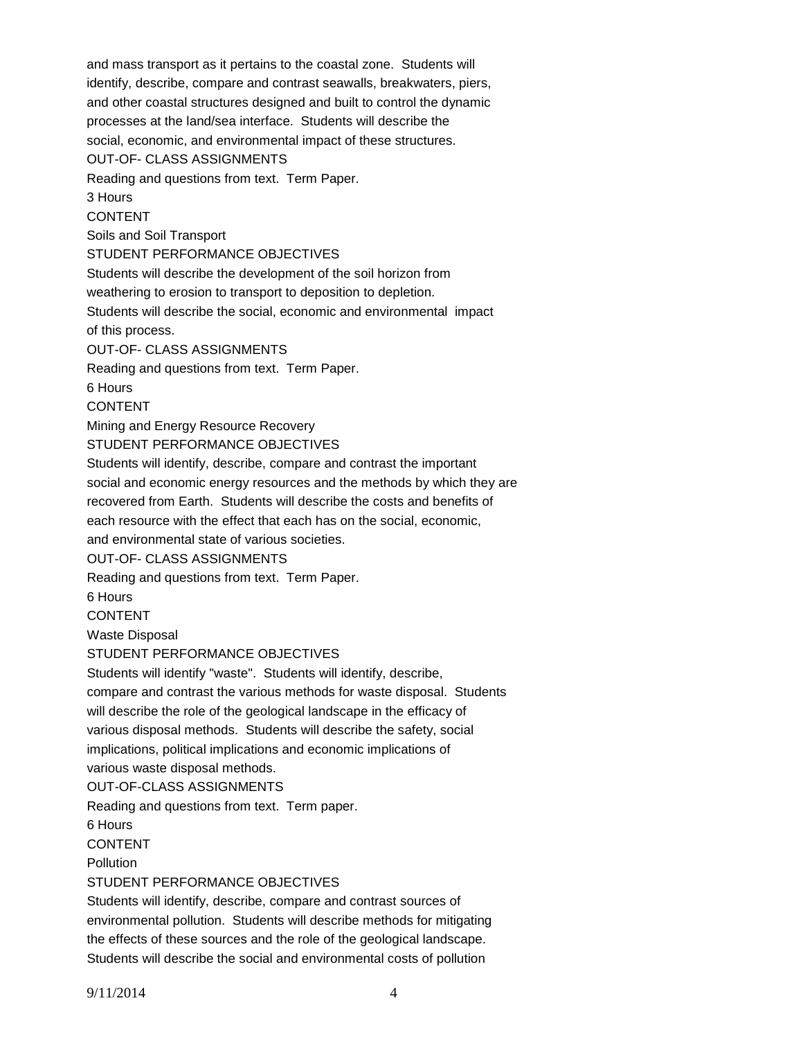and mass transport as it pertains to the coastal zone. Students will identify, describe, compare and contrast seawalls, breakwaters, piers, and other coastal structures designed and built to control the dynamic processes at the land/sea interface. Students will describe the social, economic, and environmental impact of these structures. OUT-OF- CLASS ASSIGNMENTS Reading and questions from text. Term Paper. 3 Hours CONTENT Soils and Soil Transport STUDENT PERFORMANCE OBJECTIVES Students will describe the development of the soil horizon from weathering to erosion to transport to deposition to depletion. Students will describe the social, economic and environmental impact of this process. OUT-OF- CLASS ASSIGNMENTS Reading and questions from text. Term Paper. 6 Hours CONTENT Mining and Energy Resource Recovery STUDENT PERFORMANCE OBJECTIVES Students will identify, describe, compare and contrast the important social and economic energy resources and the methods by which they are recovered from Earth. Students will describe the costs and benefits of each resource with the effect that each has on the social, economic, and environmental state of various societies. OUT-OF- CLASS ASSIGNMENTS Reading and questions from text. Term Paper. 6 Hours CONTENT Waste Disposal STUDENT PERFORMANCE OBJECTIVES Students will identify "waste". Students will identify, describe, compare and contrast the various methods for waste disposal. Students will describe the role of the geological landscape in the efficacy of various disposal methods. Students will describe the safety, social implications, political implications and economic implications of various waste disposal methods. OUT-OF-CLASS ASSIGNMENTS Reading and questions from text. Term paper. 6 Hours CONTENT **Pollution** STUDENT PERFORMANCE OBJECTIVES Students will identify, describe, compare and contrast sources of environmental pollution. Students will describe methods for mitigating the effects of these sources and the role of the geological landscape. Students will describe the social and environmental costs of pollution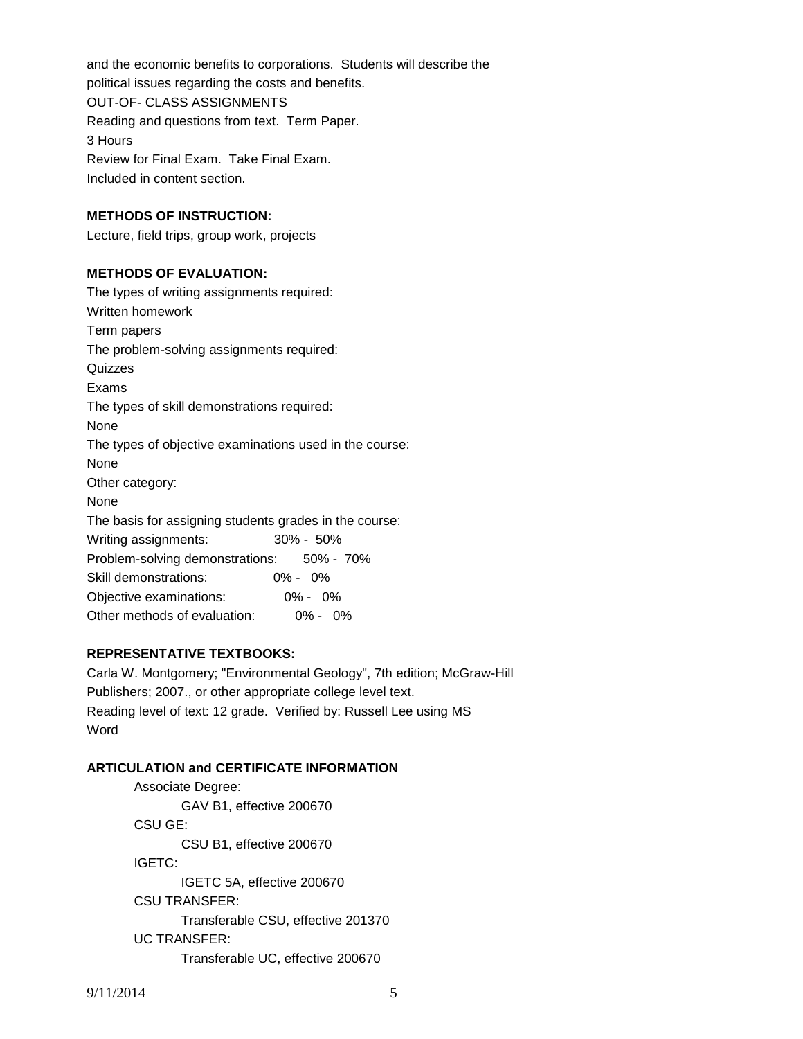and the economic benefits to corporations. Students will describe the political issues regarding the costs and benefits. OUT-OF- CLASS ASSIGNMENTS Reading and questions from text. Term Paper. 3 Hours Review for Final Exam. Take Final Exam. Included in content section.

## **METHODS OF INSTRUCTION:**

Lecture, field trips, group work, projects

#### **METHODS OF EVALUATION:**

The types of writing assignments required: Written homework Term papers The problem-solving assignments required: Quizzes Exams The types of skill demonstrations required: None The types of objective examinations used in the course: None Other category: None The basis for assigning students grades in the course: Writing assignments: 30% - 50% Problem-solving demonstrations: 50% - 70% Skill demonstrations: 0% - 0% Objective examinations: 0% - 0% Other methods of evaluation: 0% - 0%

## **REPRESENTATIVE TEXTBOOKS:**

Carla W. Montgomery; "Environmental Geology", 7th edition; McGraw-Hill Publishers; 2007., or other appropriate college level text. Reading level of text: 12 grade. Verified by: Russell Lee using MS Word

## **ARTICULATION and CERTIFICATE INFORMATION**

Associate Degree: GAV B1, effective 200670 CSU GE: CSU B1, effective 200670 IGETC: IGETC 5A, effective 200670 CSU TRANSFER: Transferable CSU, effective 201370 UC TRANSFER: Transferable UC, effective 200670